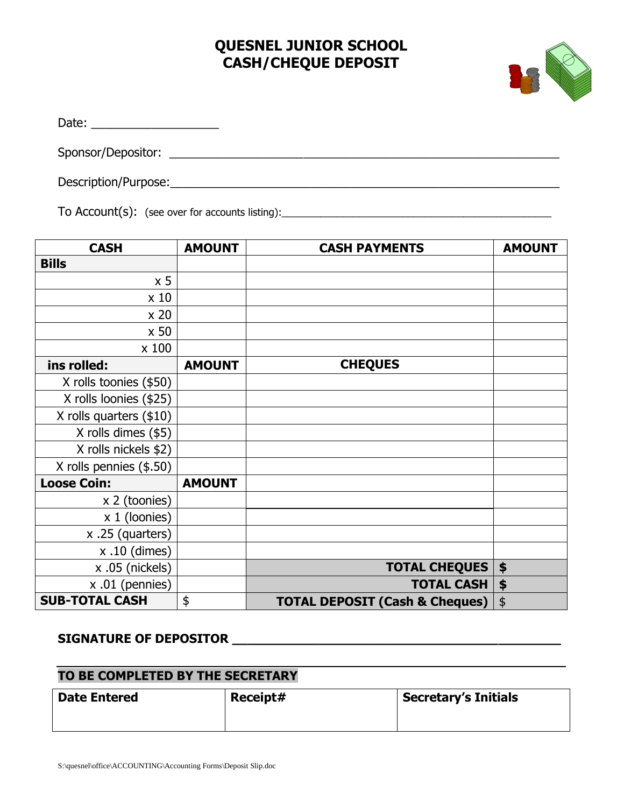# **QUESNEL JUNIOR SCHOOL CASH/CHEQUE DEPOSIT**



Date: \_\_\_\_\_\_\_\_\_\_\_\_\_\_\_\_\_\_\_

Sponsor/Depositor: \_\_\_\_\_\_\_\_\_\_\_\_\_\_\_\_\_\_\_\_\_\_\_\_\_\_\_\_\_\_\_\_\_\_\_\_\_\_\_\_\_\_\_\_\_\_\_\_\_\_\_\_\_\_\_\_\_\_

Description/Purpose:\_\_\_\_\_\_\_\_\_\_\_\_\_\_\_\_\_\_\_\_\_\_\_\_\_\_\_\_\_\_\_\_\_\_\_\_\_\_\_\_\_\_\_\_\_\_\_\_\_\_\_\_\_\_\_\_\_\_

To Account(s): (see over for accounts listing):\_\_\_\_\_\_\_\_\_\_\_\_\_\_\_\_\_\_\_\_\_\_\_\_\_\_\_\_\_\_\_\_\_\_\_\_\_\_\_\_\_\_\_\_\_\_\_\_\_

| <b>CASH</b>             | <b>AMOUNT</b> | <b>CASH PAYMENTS</b>                      | <b>AMOUNT</b> |
|-------------------------|---------------|-------------------------------------------|---------------|
| <b>Bills</b>            |               |                                           |               |
| x <sub>5</sub>          |               |                                           |               |
| x 10                    |               |                                           |               |
| x 20                    |               |                                           |               |
| x <sub>50</sub>         |               |                                           |               |
| x 100                   |               |                                           |               |
| ins rolled:             | <b>AMOUNT</b> | <b>CHEQUES</b>                            |               |
| X rolls toonies (\$50)  |               |                                           |               |
| X rolls loonies (\$25)  |               |                                           |               |
| X rolls quarters (\$10) |               |                                           |               |
| X rolls dimes (\$5)     |               |                                           |               |
| X rolls nickels \$2)    |               |                                           |               |
| X rolls pennies (\$.50) |               |                                           |               |
| <b>Loose Coin:</b>      | <b>AMOUNT</b> |                                           |               |
| x 2 (toonies)           |               |                                           |               |
| $x 1$ (loonies)         |               |                                           |               |
| x.25 (quarters)         |               |                                           |               |
| $x.10$ (dimes)          |               |                                           |               |
| $x.05$ (nickels)        |               | <b>TOTAL CHEQUES</b>                      | $\frac{1}{2}$ |
| $x.01$ (pennies)        |               | <b>TOTAL CASH</b>                         | $\frac{1}{2}$ |
| <b>SUB-TOTAL CASH</b>   | \$            | <b>TOTAL DEPOSIT (Cash &amp; Cheques)</b> | $\frac{1}{2}$ |

#### **SIGNATURE OF DEPOSITOR \_\_\_\_\_\_\_\_\_\_\_\_\_\_\_\_\_\_\_\_\_\_\_\_\_\_\_\_\_\_\_\_\_\_\_\_\_\_\_\_\_\_**

## **TO BE COMPLETED BY THE SECRETARY**

| <b>Date Entered</b> | Receipt# | <b>Secretary's Initials</b> |
|---------------------|----------|-----------------------------|
|                     |          |                             |